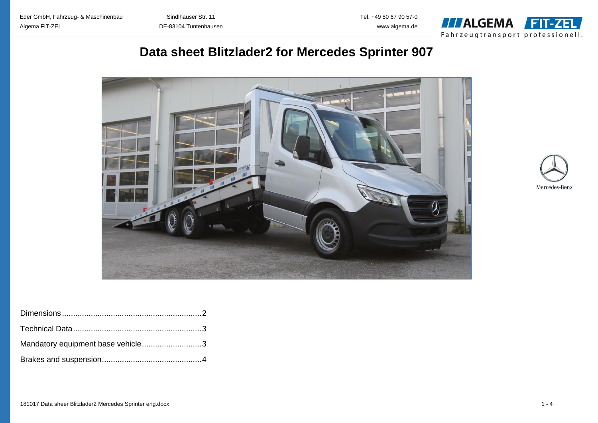Eder GmbH, Fahrzeug- & Maschinenbau Sindlhauser Str. 11 Tel. +49 80 67 90 57-0 Algema FIT-ZEL DE-83104 Tuntenhausen www.algema.de



# **Data sheet Blitzlader2 for Mercedes Sprinter 907**





| Mandatory equipment base vehicle3 |  |
|-----------------------------------|--|
|                                   |  |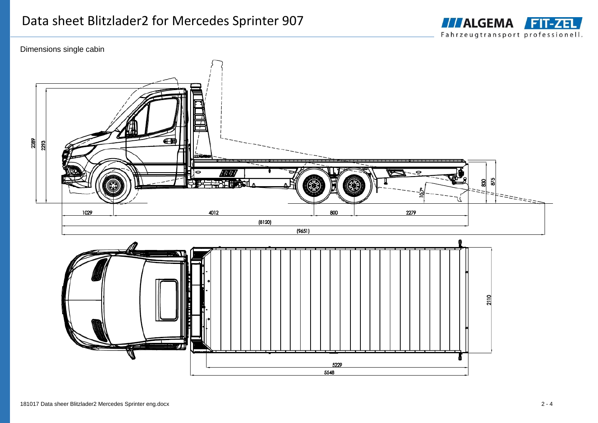

## Dimensions single cabin



5229 5548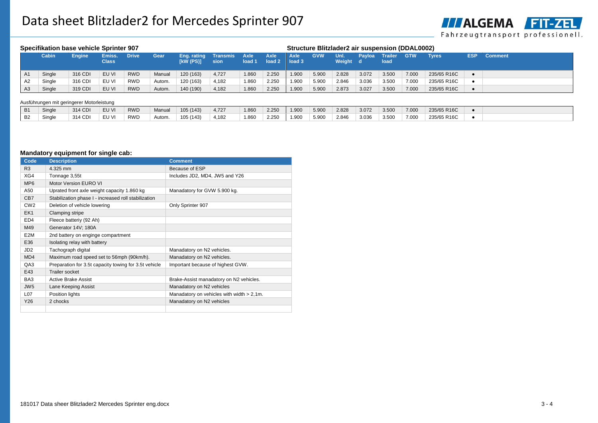

| Specifikation base vehicle Sprinter 907 |              |               |                        |              |        |                           |                  |                |                                  | Structure Blitzlader2 air suspension (DDAL0002) |            |                  |        |                 |            |              |            |                |
|-----------------------------------------|--------------|---------------|------------------------|--------------|--------|---------------------------|------------------|----------------|----------------------------------|-------------------------------------------------|------------|------------------|--------|-----------------|------------|--------------|------------|----------------|
|                                         | <b>Cabin</b> | <b>Engine</b> | Emiss.<br><b>Class</b> | <b>Drive</b> | Gear   | Eng. rating<br>$KW$ (PS)] | Transmis<br>sion | Axle<br>load 1 | <b>Axle</b><br>load <sub>2</sub> | Axle<br>load 3                                  | <b>GVW</b> | Unl.<br>Weight d | Payloa | Trailer<br>load | <b>GTW</b> | <b>Tyres</b> | <b>ESP</b> | <b>Comment</b> |
| A <sub>1</sub>                          | Single       | 316 CDI       | EU VI                  | <b>RWD</b>   | Manual | 120 (163)                 | 4,727            | 1.860          | 2.250                            | 1.900                                           | 5.900      | 2.828            | 3.072  | 3.500           | 7.000      | 235/65 R16C  |            |                |
| A2                                      | Single       | 316 CDI       | EU VI                  | <b>RWD</b>   | Autom. | 120 (163)                 | 4.182            | 1.860          | 2.250                            | 1.900                                           | 5.900      | 2.846            | 3.036  | 3.500           | 7.000      | 235/65 R16C  |            |                |
| A3                                      | Single       | 319 CDI       | EU VI                  | <b>RWD</b>   | Autom. | 140 (190)                 | 4,182            | 1.860          | 2.250                            | 1.900                                           | 5.900      | 2.873            | 3.027  | 3.500           | 7.000      | 235/65 R16C  |            |                |

#### Ausführungen mit geringerer Motorleistung

| B <sub>1</sub> | Single | 314 CDI | EU VI | <b>RWD</b> | Manual | 105(143)  | 4,727 | 1.860 | 2.250 | 1.900 | 5.900 | 2.828 | 3.072 | 3.500 | 7.000 | 235/65 R16C |  |
|----------------|--------|---------|-------|------------|--------|-----------|-------|-------|-------|-------|-------|-------|-------|-------|-------|-------------|--|
| <b>B2</b>      | Single | 314 CDI | EU VI | <b>RWD</b> | Autom. | 105 (143) | 4,182 | 1.860 | 2.250 | 1.900 | 5.900 | 2.846 | 3.036 | 3.500 | 7.000 | 235/65 R16C |  |

## **Mandatory equipment for single cab:**

| Code             | <b>Description</b>                                    | <b>Comment</b>                               |
|------------------|-------------------------------------------------------|----------------------------------------------|
| R <sub>3</sub>   | 4.325 mm                                              | Because of ESP                               |
| XG4              | Tonnage 3,55t                                         | Includes JD2, MD4, JW5 and Y26               |
| MP <sub>6</sub>  | Motor Version EURO VI                                 |                                              |
| A50              | Uprated front axle weight capacity 1.860 kg           | Manadatory for GVW 5.900 kg.                 |
| CB7              | Stabilization phase I - increased roll stabilization  |                                              |
| CW <sub>2</sub>  | Deletion of vehicle lowering                          | Only Sprinter 907                            |
| EK1              | Clamping stripe                                       |                                              |
| ED <sub>4</sub>  | Fleece batteriy (92 Ah)                               |                                              |
| M49              | Generator 14V; 180A                                   |                                              |
| E <sub>2</sub> M | 2nd battery on enginge compartment                    |                                              |
| E36              | Isolating relay with battery                          |                                              |
| JD <sub>2</sub>  | Tachograph digital                                    | Manadatory on N2 vehicles.                   |
| MD4              | Maximum road speed set to 56mph (90km/h).             | Manadatory on N2 vehicles.                   |
| QA3              | Preparation for 3.5t capacity towing for 3.5t vehicle | Important because of highest GVW.            |
| E43              | <b>Trailer socket</b>                                 |                                              |
| BA <sub>3</sub>  | <b>Active Brake Assist</b>                            | Brake-Assist manadatory on N2 vehicles.      |
| JW <sub>5</sub>  | Lane Keeping Assist                                   | Manadatory on N2 vehicles                    |
| L07              | Position lights                                       | Manadatory on vehicles with width $> 2.1$ m. |
| Y26              | 2 chocks                                              | Manadatory on N2 vehicles                    |
|                  |                                                       |                                              |